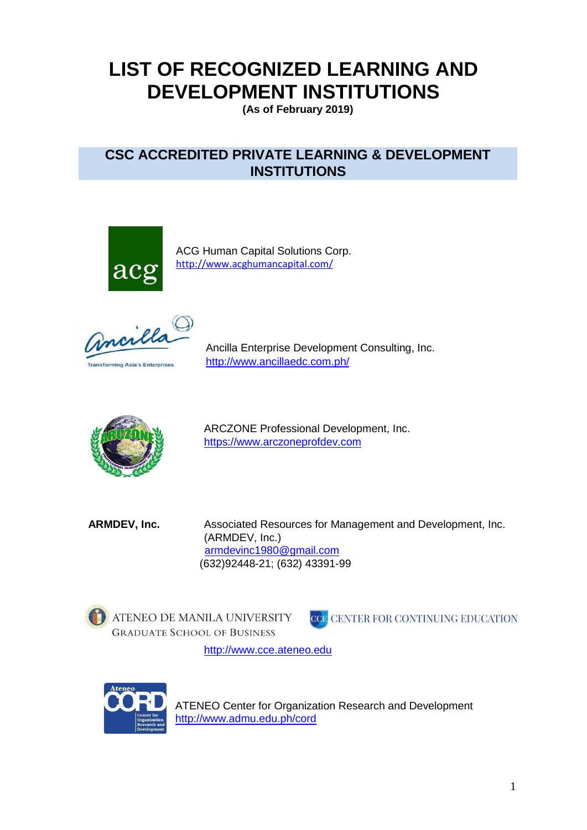# **LIST OF RECOGNIZED LEARNING AND DEVELOPMENT INSTITUTIONS**

**(As of February 2019)** 

### **CSC ACCREDITED PRIVATE LEARNING & DEVELOPMENT INSTITUTIONS**



ACG Human Capital Solutions Corp. <http://www.acghumancapital.com/>

ming Asia's Enterpris

Ancilla Enterprise Development Consulting, Inc. <http://www.ancillaedc.com.ph/>



ARCZONE Professional Development, Inc. [https://www.arczoneprofdev.com](https://www.arczoneprofdev.com/)

**ARMDEV, Inc.** Associated Resources for Management and Development, Inc. (ARMDEV, Inc.) armdevinc1980@gmail.com (632)92448-21; (632) 43391-99



ATENEO DE MANILA UNIVERSITY **GRADUATE SCHOOL OF BUSINESS** 



[http://www.cc](http://www.admu.edu.ph/cord)e.ateneo.edu



ATENEO Center for Organization Research and Development <http://www.admu.edu.ph/cord>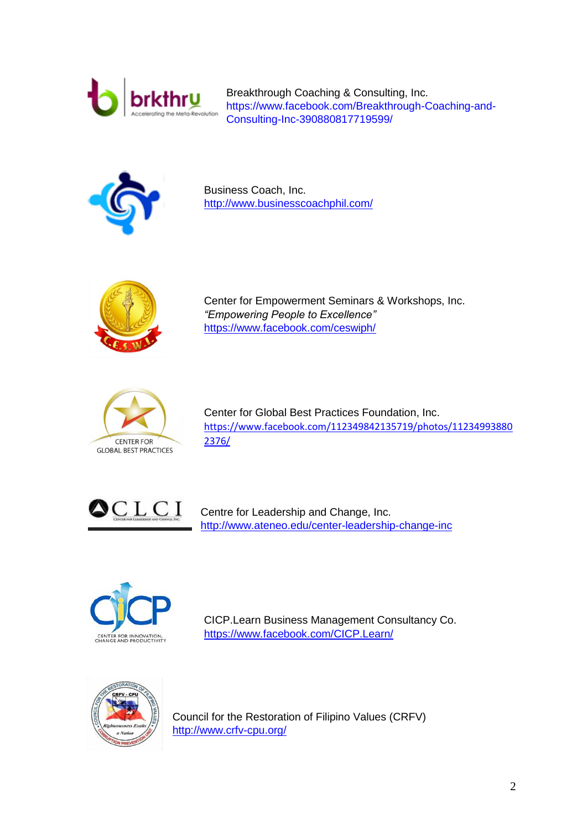

Breakthrough Coaching & Consulting, Inc. https://www.facebook.com/Breakthrough-Coaching-and-Consulting-Inc-390880817719599/



Business Coach, Inc. <http://www.businesscoachphil.com/>



Center for Empowerment Seminars & Workshops, Inc. *"Empowering People to Excellence"* <https://www.facebook.com/ceswiph/>



Center for Global Best Practices Foundation, Inc. [https://www.facebook.com/112349842135719/photos/11234993880](https://www.facebook.com/112349842135719/photos/112349938802376/) [2376/](https://www.facebook.com/112349842135719/photos/112349938802376/)



Centre for Leadership and Change, Inc. <http://www.ateneo.edu/center-leadership-change-inc>



CICP.Learn Business Management Consultancy Co. <https://www.facebook.com/CICP.Learn/>



Council for the Restoration of Filipino Values (CRFV) <http://www.crfv-cpu.org/>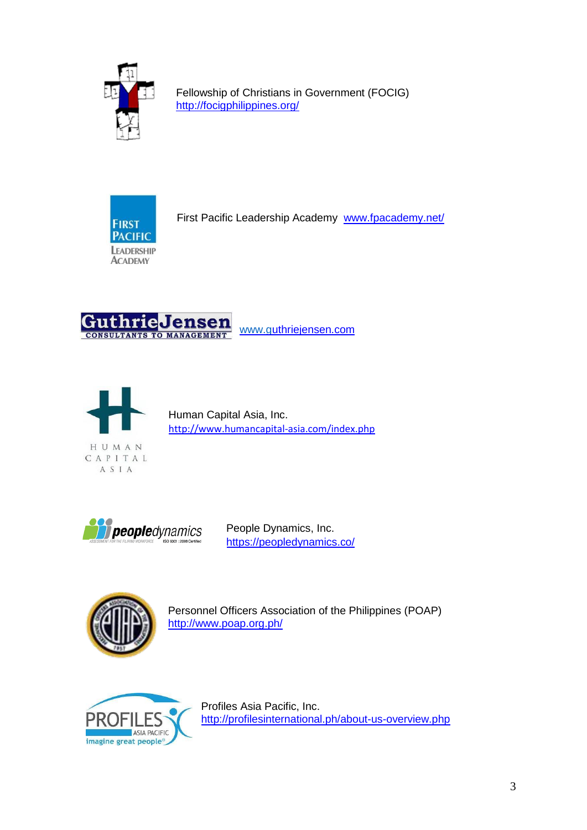

Fellowship of Christians in Government (FOCIG) <http://focigphilippines.org/>



First Pacific Leadership Academy [www.fpacademy.net/](http://www.fpacademy.net/)



[www.gu](http://www.g/)thriejensen.com



Human Capital Asia, Inc. <http://www.humancapital-asia.com/index.php>



People Dynamics, Inc. <https://peopledynamics.co/>



Personnel Officers Association of the Philippines (POAP) <http://www.poap.org.ph/>



Profiles Asia Pacific, Inc. <http://profilesinternational.ph/about-us-overview.php>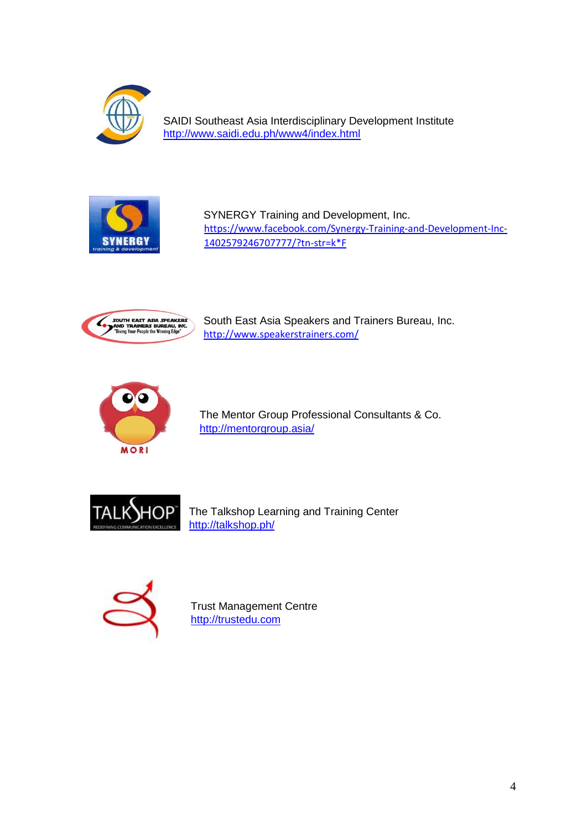

SAIDI Southeast Asia Interdisciplinary Development Institute <http://www.saidi.edu.ph/www4/index.html>



SYNERGY Training and Development, Inc. [https://www.facebook.com/Synergy-Training-and-Development-Inc-](https://www.facebook.com/Synergy-Training-and-Development-Inc-1402579246707777/?tn-str=k*F)[1402579246707777/?tn-str=k\\*F](https://www.facebook.com/Synergy-Training-and-Development-Inc-1402579246707777/?tn-str=k*F)



South East Asia Speakers and Trainers Bureau, Inc. <http://www.speakerstrainers.com/>



The Mentor Group Professional Consultants & Co. <http://mentorgroup.asia/>



The Talkshop Learning and Training Center <http://talkshop.ph/>



Trust Management Centre [http://trustedu.com](http://trustedu.com/)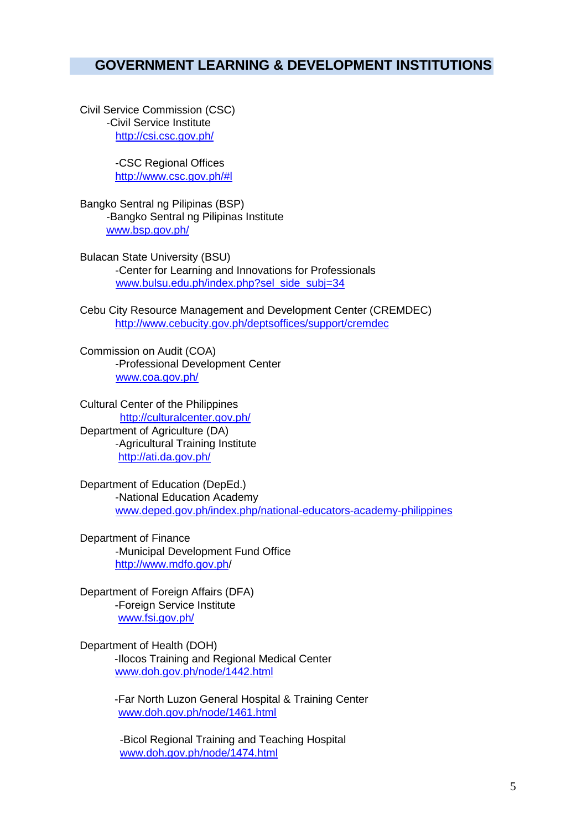#### **GOVERNMENT LEARNING & DEVELOPMENT INSTITUTIONS**

Civil Service Commission (CSC) -Civil Service Institute <http://csi.csc.gov.ph/>

> -CSC Regional Offices [http://www.csc.gov.ph/#l](http://excell.csc.gov.ph/cscweb/dir_ro.html)

Bangko Sentral ng Pilipinas (BSP) -Bangko Sentral ng Pilipinas Institute [www.bsp.gov.ph/](http://www.bsp.gov.ph/)

Bulacan State University (BSU) -Center for Learning and Innovations for Professionals [www.bulsu.edu.ph/index.php?sel\\_side\\_subj=34](http://www.bulsu.edu.ph/index.php?sel_side_subj=34)

Cebu City Resource Management and Development Center (CREMDEC) <http://www.cebucity.gov.ph/deptsoffices/support/cremdec>

Commission on Audit (COA) -Professional Development Center [www.coa.gov.ph/](http://www.coa.gov.ph/)

Cultural Center of the Philippines <http://culturalcenter.gov.ph/> Department of Agriculture (DA) -Agricultural Training Institute <http://ati.da.gov.ph/>

Department of Education (DepEd.) -National Education Academy www.deped.gov.ph/index.php/national-educators-academy-philippines

Department of Finance -Municipal Development Fund Office <http://www.mdfo.gov.ph/>

Department of Foreign Affairs (DFA) -Foreign Service Institute [www.fsi.gov.ph/](http://fsi.gov.ph/)

Department of Health (DOH) -Ilocos Training and Regional Medical Center [www.doh.gov.ph/node/1442.html](http://www.doh.gov.ph/node/1442.html)

> -Far North Luzon General Hospital & Training Center [www.doh.gov.ph/node/1461.html](http://www.doh.gov.ph/node/1461.html)

-Bicol Regional Training and Teaching Hospital [www.doh.gov.ph/node/1474.html](http://www.doh.gov.ph/node/1474.html)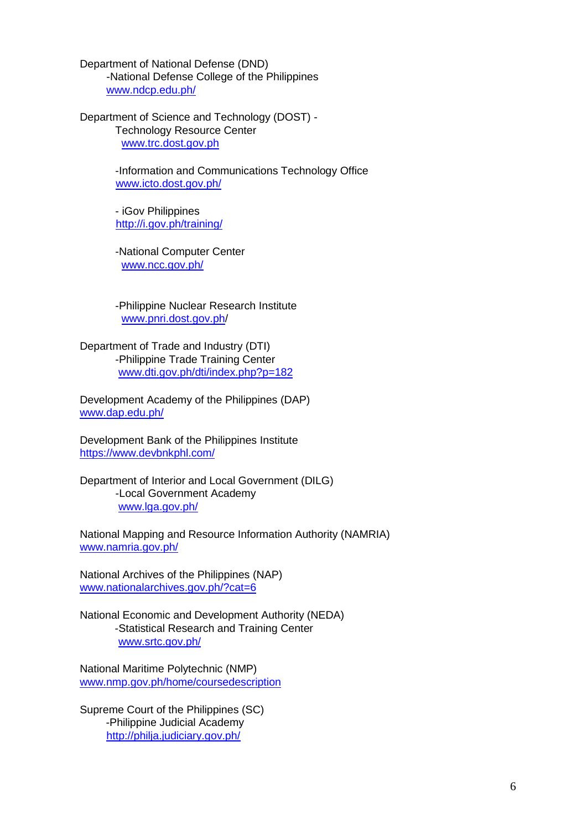Department of National Defense (DND) -National Defense College of the Philippines [www.ndcp.edu.ph/](http://www.ndcp.edu.ph/)

Department of Science and Technology (DOST) - Technology Resource Center [www.trc.dost.gov.ph](http://www.trc.dost.gov.ph/)

> -Information and Communications Technology Office [www.icto.dost.gov.ph/](http://www.icto.dost.gov.ph/)

- iGov Philippines <http://i.gov.ph/training/>

-National Computer Center [www.ncc.gov.ph/](http://www.ncc.gov.ph/)

-Philippine Nuclear Research Institute [www.pnri.dost.gov.ph/](http://www.pnri.dost.gov.ph/)

Department of Trade and Industry (DTI) -Philippine Trade Training Center [www.dti.gov.ph/dti/index.php?p=182](http://www.dti.gov.ph/dti/index.php?p=182)

Development Academy of the Philippines (DAP) [www.dap.edu.ph/](http://www.dap.edu.ph/)

Development Bank of the Philippines Institute <https://www.devbnkphl.com/>

Department of Interior and Local Government (DILG) -Local Government Academy [www.lga.gov.ph/](http://www.lga.gov.ph/)

National Mapping and Resource Information Authority (NAMRIA) [www.namria.gov.ph/](http://www.namria.gov.ph/)

National Archives of the Philippines (NAP) [www.nationalarchives.gov.ph/?cat=6](http://www.nationalarchives.gov.ph/?cat=6)

National Economic and Development Authority (NEDA) -Statistical Research and Training Center [www.srtc.gov.ph/](http://www.srtc.gov.ph/)

National Maritime Polytechnic (NMP) [www.nmp.gov.ph/home/coursedescription](http://www.nmp.gov.ph/home/coursedescription)

Supreme Court of the Philippines (SC) -Philippine Judicial Academy <http://philja.judiciary.gov.ph/>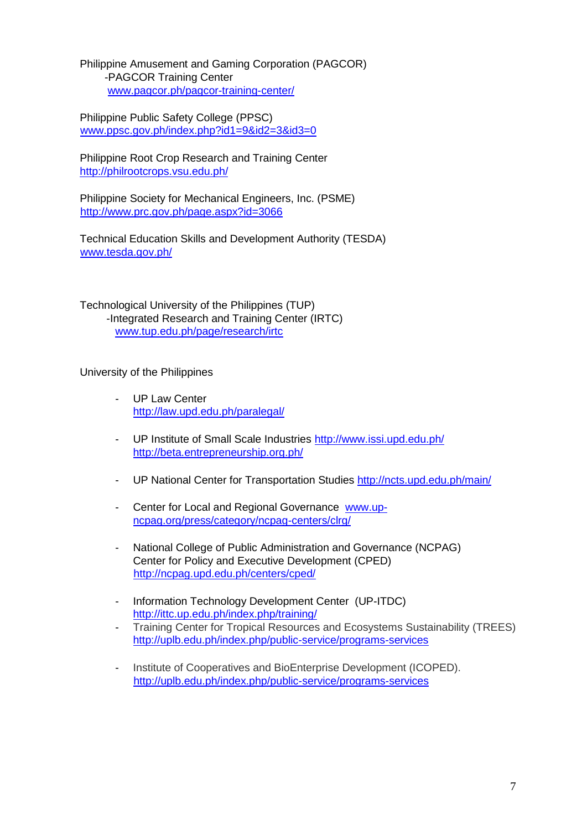Philippine Amusement and Gaming Corporation (PAGCOR) -PAGCOR Training Center [www.pagcor.ph/pagcor-training-center/](http://www.pagcor.ph/pagcor-training-center/)

Philippine Public Safety College (PPSC) [www.ppsc.gov.ph/index.php?id1=9&id2=3&id3=0](http://www.ppsc.gov.ph/index.php?id1=9&id2=3&id3=0)

Philippine Root Crop Research and Training Center <http://philrootcrops.vsu.edu.ph/>

Philippine Society for Mechanical Engineers, Inc. (PSME) <http://www.prc.gov.ph/page.aspx?id=3066>

Technical Education Skills and Development Authority (TESDA) [www.tesda.gov.ph/](http://www.tesda.gov.ph/)

Technological University of the Philippines (TUP) -Integrated Research and Training Center (IRTC) [www.tup.edu.ph/page/research/irtc](http://www.tup.edu.ph/page/research/irtc)

University of the Philippines

- UP Law Center <http://law.upd.edu.ph/paralegal/>
- UP Institute of Small Scale Industries<http://www.issi.upd.edu.ph/> <http://beta.entrepreneurship.org.ph/>
- UP National Center for Transportation Studies<http://ncts.upd.edu.ph/main/>
- Center for Local and Regional Governance [www.up](http://www.up-ncpag.org/press/category/ncpag-centers/clrg/)[ncpag.org/press/category/ncpag-centers/clrg/](http://www.up-ncpag.org/press/category/ncpag-centers/clrg/)
- National College of Public Administration and Governance (NCPAG) Center for Policy and Executive Development (CPED) <http://ncpag.upd.edu.ph/centers/cped/>
- Information Technology Development Center (UP-ITDC) <http://ittc.up.edu.ph/index.php/training/>
- Training Center for Tropical Resources and Ecosystems Sustainability (TREES) <http://uplb.edu.ph/index.php/public-service/programs-services>
- Institute of Cooperatives and BioEnterprise Development (ICOPED). <http://uplb.edu.ph/index.php/public-service/programs-services>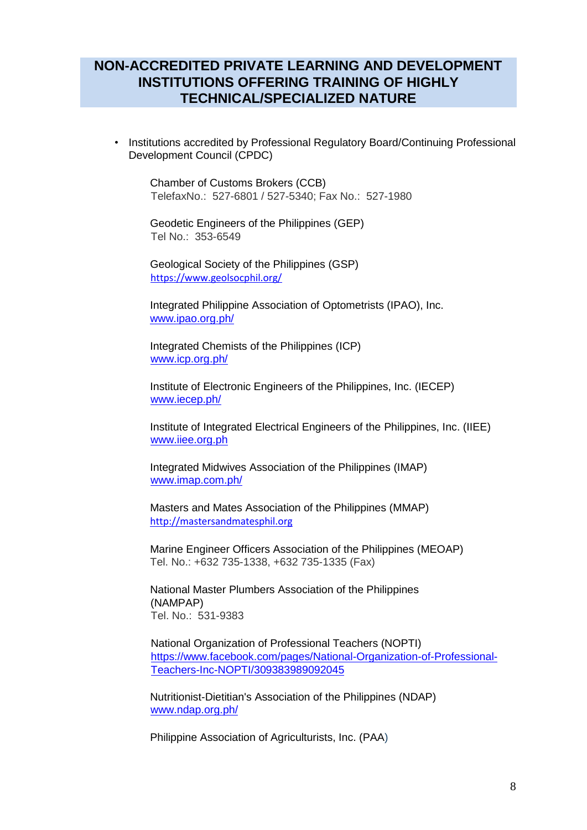#### **NON-ACCREDITED PRIVATE LEARNING AND DEVELOPMENT INSTITUTIONS OFFERING TRAINING OF HIGHLY TECHNICAL/SPECIALIZED NATURE**

• Institutions accredited by Professional Regulatory Board/Continuing Professional Development Council (CPDC[\)](http://www.prc.gov.ph/prb/default.aspx)

Chamber of Customs Brokers (CCB) TelefaxNo.: 527-6801 / 527-5340; Fax No.: 527-1980

Geodetic Engineers of the Philippines (GEP) Tel No.: 353-6549

Geological Society of the Philippines (GSP) <https://www.geolsocphil.org/>

Integrated Philippine Association of Optometrists (IPAO), Inc. [www.ipao.org.ph/](http://www.ipao.org.ph/)

Integrated Chemists of the Philippines (ICP) [www.icp.org.ph/](http://www.icp.org.ph/)

Institute of Electronic Engineers of the Philippines, Inc. (IECEP) [www.iecep.ph/](http://www.iecep.ph/)

Institute of Integrated Electrical Engineers of the Philippines, Inc. (IIEE) [www.iiee.org.ph](http://www.iiee.org.ph/)

Integrated Midwives Association of the Philippines (IMAP) [www.imap.com.ph/](http://www.imap.com.ph/)

Masters and Mates Association of the Philippines (MMAP) [http://mastersandmatesphil.org](http://mastersandmatesphil.org/)

Marine Engineer Officers Association of the Philippines (MEOAP) Tel. No.: +632 735-1338, +632 735-1335 (Fax)

National Master Plumbers Association of the Philippines (NAMPAP) Tel. No.: 531-9383

National Organization of Professional Teachers (NOPTI) [https://www.facebook.com/pages/National-Organization-of-Professional-](https://www.facebook.com/pages/National-Organization-of-Professional-Teachers-Inc-NOPTI/309383989092045)[Teachers-Inc-NOPTI/309383989092045](https://www.facebook.com/pages/National-Organization-of-Professional-Teachers-Inc-NOPTI/309383989092045)

Nutritionist-Dietitian's Association of the Philippines (NDAP) [www.ndap.org.ph/](http://www.ndap.org.ph/)

Philippine Association of Agriculturists, Inc. (PAA)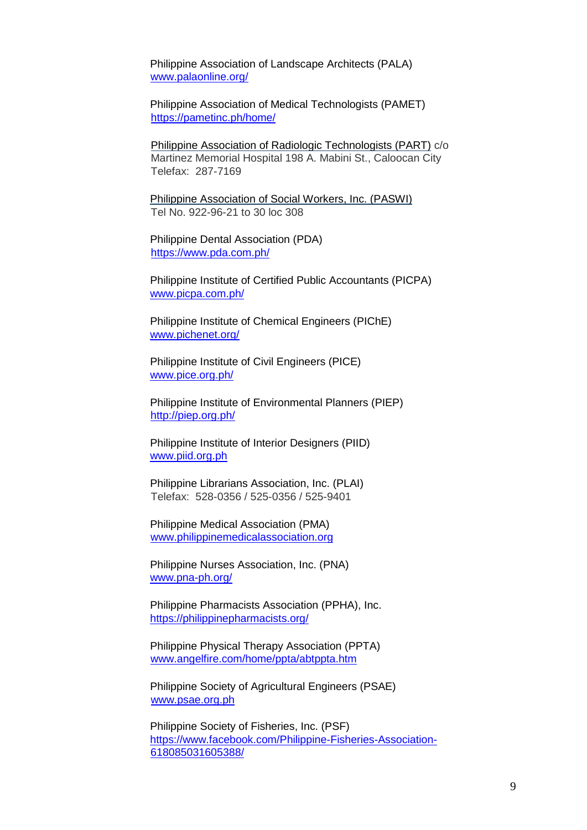Philippine Association of Landscape Architects (PALA) [www.palaonline.org/](http://palaonline.org/)

Philippine Association of Medical Technologists (PAMET) <https://pametinc.ph/home/>

Philippine Association of Radiologic Technologists (PART) c/o Martinez Memorial Hospital 198 A. Mabini St., Caloocan City Telefax: 287-7169

Philippine Association of Social Workers, Inc. (PASWI) Tel No. 922-96-21 to 30 loc 308

Philippine Dental Association (PDA) <https://www.pda.com.ph/>

Philippine Institute of Certified Public Accountants (PICPA) [www.picpa.com.ph/](http://www.picpa.com.ph/)

Philippine Institute of Chemical Engineers (PIChE) [www.pichenet.org/](http://www.pichenet.org/)

Philippine Institute of Civil Engineers (PICE) [www.pice.org.ph/](http://www.pice.org.ph/)

Philippine Institute of Environmental Planners (PIEP) <http://piep.org.ph/>

Philippine Institute of Interior Designers (PIID) [www.piid.org.ph](http://piid.org.ph/)

Philippine Librarians Association, Inc. (PLAI) Telefax: 528-0356 / 525-0356 / 525-9401

Philippine Medical Association (PMA) [www.philippinemedicalassociation.org](http://www.philippinemedicalassociation.org/)

Philippine Nurses Association, Inc. (PNA) [www.pna-ph.org/](http://www.pna-ph.org/)

Philippine Pharmacists Association (PPHA), Inc. <https://philippinepharmacists.org/>

Philippine Physical Therapy Association (PPTA) [www.angelfire.com/home/ppta/abtppta.htm](http://www.angelfire.com/home/ppta/abtppta.htm)

Philippine Society of Agricultural Engineers (PSAE) [www.psae.org.ph](http://www.psae.org.ph/)

Philippine Society of Fisheries, Inc. (PSF) [https://www.facebook.com/Philippine-Fisheries-Association-](https://www.facebook.com/Philippine-Fisheries-Association-618085031605388/)[618085031605388/](https://www.facebook.com/Philippine-Fisheries-Association-618085031605388/)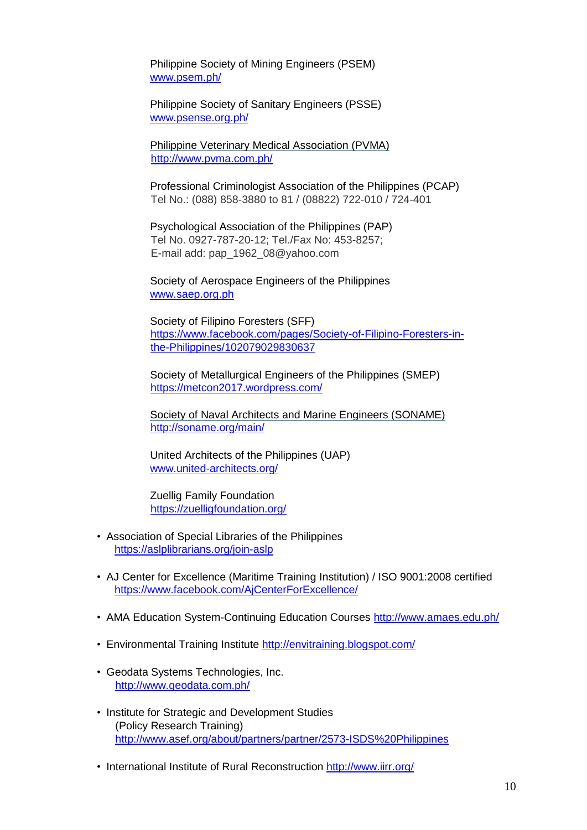Philippine Society of Mining Engineers (PSEM) [www.psem.ph/](http://www.psem.ph/)

Philippine Society of Sanitary Engineers (PSSE) [www.psense.org.ph/](http://www.psense.org.ph/)

Philippine Veterinary Medical Association (PVMA) <http://www.pvma.com.ph/>

Professional Criminologist Association of the Philippines (PCAP) Tel No.: (088) 858-3880 to 81 / (08822) 722-010 / 724-401

Psychological Association of the Philippines (PAP) Tel No. 0927-787-20-12; Tel./Fax No: 453-8257; E-mail add: pap\_1962\_08@yahoo.com

Society of Aerospace Engineers of the Philippines [www.saep.org.ph](http://www.saep.org.ph/)

Society of Filipino Foresters (SFF) [https://www.facebook.com/pages/Society-of-Filipino-Foresters-in](https://www.facebook.com/pages/Society-of-Filipino-Foresters-in-the-Philippines/102079029830637)[the-Philippines/102079029830637](https://www.facebook.com/pages/Society-of-Filipino-Foresters-in-the-Philippines/102079029830637)

Society of Metallurgical Engineers of the Philippines (SMEP) <https://metcon2017.wordpress.com/>

Society of Naval Architects and Marine Engineers (SONAME) <http://soname.org/main/>

United Architects of the Philippines (UAP) [www.united-architects.org/](http://www.united-architects.org/)

Zuellig Family Foundation <https://zuelligfoundation.org/>

- Association of Special Libraries of the Philippines <https://aslplibrarians.org/join-aslp>
- AJ Center for Excellence (Maritime Training Institution) / ISO 9001:2008 certified <https://www.facebook.com/AjCenterForExcellence/>
- AMA Education System-Continuing Education Courses<http://www.amaes.edu.ph/>
- Environmental Training Institute<http://envitraining.blogspot.com/>
- Geodata Systems Technologies, Inc. <http://www.geodata.com.ph/>
- Institute for Strategic and Development Studies (Policy Research Training) <http://www.asef.org/about/partners/partner/2573-ISDS%20Philippines>
- International Institute of Rural Reconstruction<http://www.iirr.org/>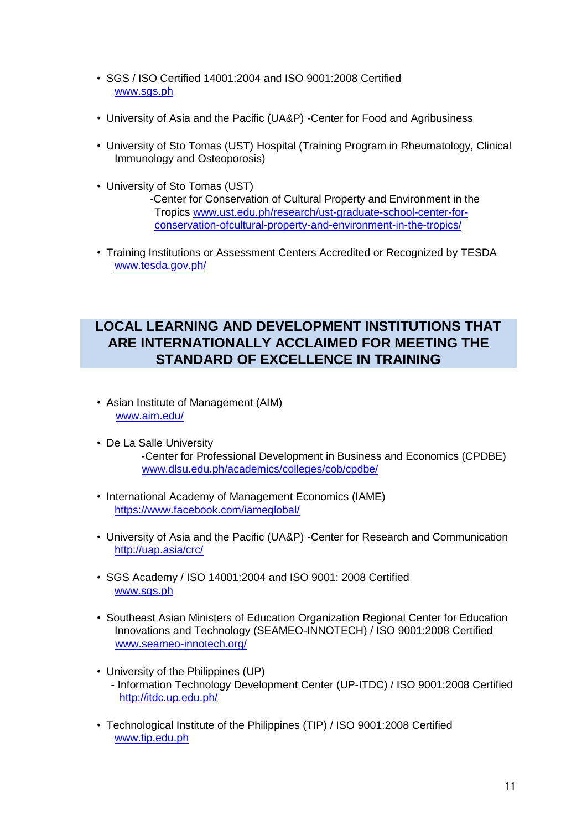- SGS / ISO Certified 14001:2004 and ISO 9001:2008 Certified [www.sgs.ph](http://www.sgs.ph/)
- University of Asia and the Pacific (UA&P) -Center for Food and Agribusiness
- University of Sto Tomas (UST) Hospital (Training Program in Rheumatology, Clinical Immunology and Osteoporosis)
- University of Sto Tomas (UST) -Center for Conservation of Cultural Property and Environment in the Tropics [www.ust.edu.ph/research/ust-](http://www.ust.edu.ph/research/ust)[graduate-school-center-for](http://www.ust.edu.ph/research/ust-graduate-school-center-for-conservation-of-cultural-property-and-environment-in-the-tropics/)[conservation-ofcultural-property-and-environment-in-the-tropics/](http://www.ust.edu.ph/research/ust-graduate-school-center-for-conservation-of-cultural-property-and-environment-in-the-tropics/)
- Training Institutions or Assessment Centers Accredited or Recognized by TESDA [www.tesda.gov.ph/](http://www.tesda.gov.ph/)

### **LOCAL LEARNING AND DEVELOPMENT INSTITUTIONS THAT ARE INTERNATIONALLY ACCLAIMED FOR MEETING THE STANDARD OF EXCELLENCE IN TRAINING**

- Asian Institute of Management (AIM) [www.aim.edu/](http://www.aim.edu/)
- De La Salle University

-Center for Professional Development in Business and Economics (CPDBE) [www.dlsu.edu.ph/academics/colleges/cob/cpdbe/](http://www.dlsu.edu.ph/academics/colleges/cob/cpdbe/)

- International Academy of Management Economics (IAME) <https://www.facebook.com/iameglobal/>
- University of Asia and the Pacific (UA&P) -Center for Research and Communication <http://uap.asia/crc/>
- SGS Academy / ISO 14001:2004 and ISO 9001: 2008 Certified [www.sgs.ph](http://www.sgs.ph/)
- Southeast Asian Ministers of Education Organization Regional Center for Education Innovations and Technology (SEAMEO-INNOTECH) / ISO 9001:2008 Certified [www.seameo-innotech.org/](http://www.seameo-innotech.org/)
- University of the Philippines (UP)
	- Information Technology Development Center (UP-ITDC) / ISO 9001:2008 Certified <http://itdc.up.edu.ph/>
- Technological Institute of the Philippines (TIP) / ISO 9001:2008 Certified [www.tip.edu.ph](http://www.tip.edu.ph/)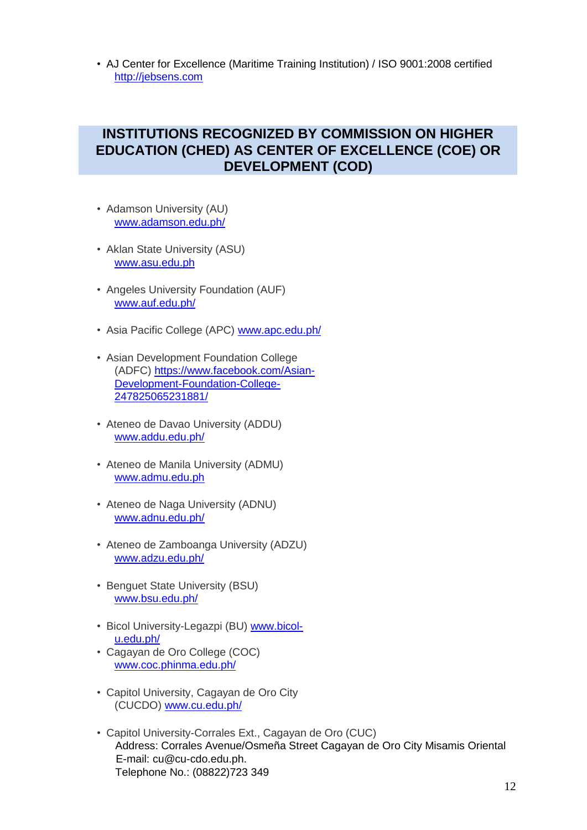• AJ Center for Excellence (Maritime Training Institution) / ISO 9001:2008 certified [http://jebsens.com](http://jebsens.com/)

#### **INSTITUTIONS RECOGNIZED BY COMMISSION ON HIGHER EDUCATION (CHED) AS CENTER OF EXCELLENCE (COE) OR DEVELOPMENT (COD)**

- Adamson University (AU) [www.adamson.edu.ph/](http://www.adamson.edu.ph/)
- Aklan State University (ASU) [www.asu.edu.ph](http://www.asu.edu.ph/)
- Angeles University Foundation (AUF) [www.auf.edu.ph/](http://www.auf.edu.ph/)
- Asia Pacific College (APC) [www.apc.edu.ph/](http://www.apc.edu.ph/)
- Asian Development Foundation College (ADFC) https://www.facebook.com/Asian-Development-Foundation-College-247825065231881/
- Ateneo de Davao University (ADDU) [www.addu.edu.ph/](http://www.addu.edu.ph/)
- Ateneo de Manila University (ADMU) [www.admu.edu.ph](http://www.admu.edu.ph/)
- Ateneo de Naga University (ADNU) [www.adnu.edu.ph/](http://www.adnu.edu.ph/)
- Ateneo de Zamboanga University (ADZU) [www.adzu.edu.ph/](http://www.adzu.edu.ph/)
- Benguet State University (BSU) [www.bsu.edu.ph/](http://www.bsu.edu.ph/)
- Bicol University-Legazpi (BU) [www.bicol](http://www.bicol-u.edu.ph/)[u.edu.ph/](http://www.bicol-u.edu.ph/)
- Cagayan de Oro College (COC) [www.coc.phinma.edu.ph/](http://www.coc.phinma.edu.ph/)
- Capitol University, Cagayan de Oro City (CUCDO) [www.cu.edu.ph/](http://www.cu.edu.ph/)
- Capitol University-Corrales Ext., Cagayan de Oro (CUC) Address: Corrales Avenue/Osmeña Street Cagayan de Oro City Misamis Oriental E-mail: cu@cu-cdo.edu.ph. Telephone No.: (08822)723 349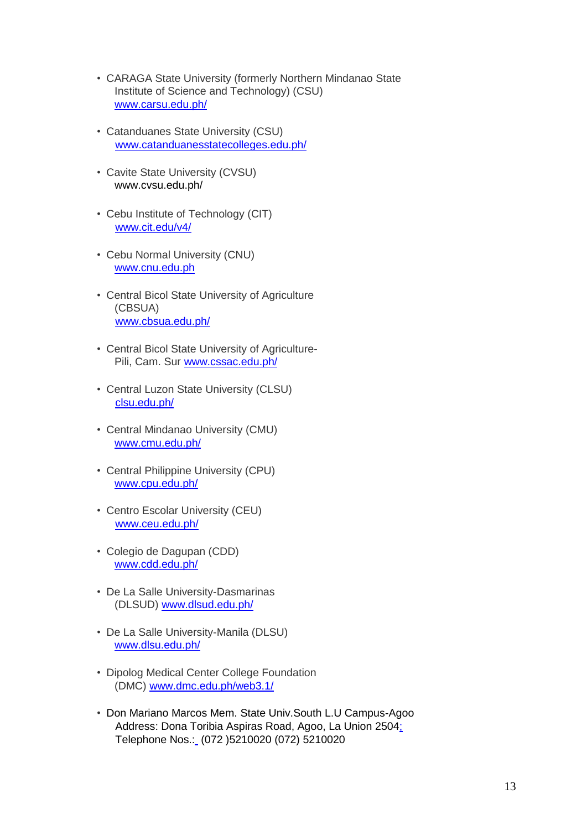- CARAGA State University (formerly Northern Mindanao State Institute of Science and Technology) (CSU) [www.carsu.edu.ph/](http://www.carsu.edu.ph/)
- Catanduanes State University (CSU) [www.catanduanesstatecolleges.edu.ph/](http://www.catanduanesstatecolleges.edu.ph/)
- Cavite State University (CVSU) www.cvsu.edu.ph/
- Cebu Institute of Technology (CIT) [www.cit.edu/v4/](http://www.cit.edu/v4/)
- Cebu Normal University (CNU) [www.cnu.edu.ph](http://www.cnu.edu.ph/)
- Central Bicol State University of Agriculture (CBSUA) [www.cbsua.edu.ph/](http://www.cbsua.edu.ph/)
- Central Bicol State University of Agriculture-Pili, Cam. Sur [www.cssac.edu.ph/](http://www.cssac.edu.ph/)
- Central Luzon State University (CLSU) [clsu.edu.ph/](https://clsu.edu.ph/)
- Central Mindanao University (CMU) [www.cmu.edu.ph/](http://www.cmu.edu.ph/)
- Central Philippine University (CPU) [www.cpu.edu.ph/](http://www.cpu.edu.ph/)
- Centro Escolar University (CEU) [www.ceu.edu.ph/](http://www.ceu.edu.ph/)
- Colegio de Dagupan (CDD) [www.cdd.edu.ph/](http://www.cdd.edu.ph/)
- De La Salle University-Dasmarinas (DLSUD) [www.dlsud.edu.ph/](http://www.dlsud.edu.ph/)
- De La Salle University-Manila (DLSU) [www.dlsu.edu.ph/](http://www.dlsu.edu.ph/)
- Dipolog Medical Center College Foundation (DMC) [www.dmc.edu.ph/web3.1/](http://www.dmc.edu.ph/web3.1/)
- Don Mariano Marcos Mem. State Univ.South L.U Campus-Agoo Address: Dona Toribia Aspiras Road, Agoo, La Union 2504; Telephone Nos.: (072 )5210020 (072) 5210020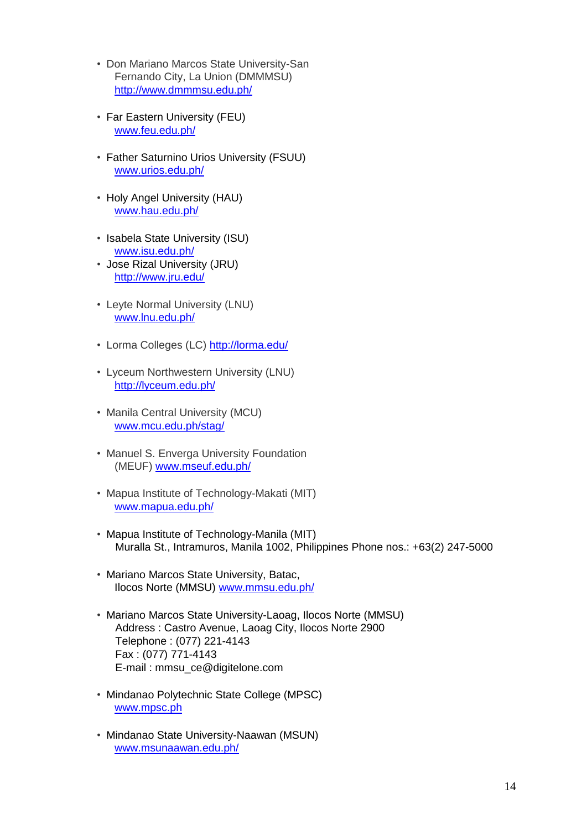- Don Mariano Marcos State University-San Fernando City, La Union (DMMMSU) <http://www.dmmmsu.edu.ph/>
- Far Eastern University (FEU) [www.feu.edu.ph/](http://www.feu.edu.ph/)
- Father Saturnino Urios University (FSUU) [www.urios.edu.ph/](http://www.urios.edu.ph/)
- Holy Angel University (HAU) [www.hau.edu.ph/](http://www.hau.edu.ph/)
- Isabela State University (ISU) [www.isu.edu.ph/](http://www.isu.edu.ph/)
- Jose Rizal University (JRU) <http://www.jru.edu/>
- Leyte Normal University (LNU) [www.lnu.edu.ph/](http://www.lnu.edu.ph/)
- Lorma Colleges (LC)<http://lorma.edu/>
- Lyceum Northwestern University (LNU) <http://lyceum.edu.ph/>
- Manila Central University (MCU) [www.mcu.edu.ph/stag/](http://www.mcu.edu.ph/stag/)
- Manuel S. Enverga University Foundation (MEUF) [www.mseuf.edu.ph/](http://www.mseuf.edu.ph/)
- Mapua Institute of Technology-Makati (MIT) [www.mapua.edu.ph/](http://www.mapua.edu.ph/)
- Mapua Institute of Technology-Manila (MIT) Muralla St., Intramuros, Manila 1002, Philippines Phone nos.: +63(2) 247-5000
- Mariano Marcos State University, Batac, Ilocos Norte (MMSU) [www.mmsu.edu.ph/](http://www.mmsu.edu.ph/)
- Mariano Marcos State University-Laoag, Ilocos Norte (MMSU) Address : Castro Avenue, Laoag City, Ilocos Norte 2900 Telephone : (077) 221-4143 Fax : (077) 771-4143 E-mail : mmsu\_ce@digitelone.com
- Mindanao Polytechnic State College (MPSC) [www.mpsc.ph](http://www.mpsc.ph/)
- Mindanao State University-Naawan (MSUN) [www.msunaawan.edu.ph/](http://www.msunaawan.edu.ph/)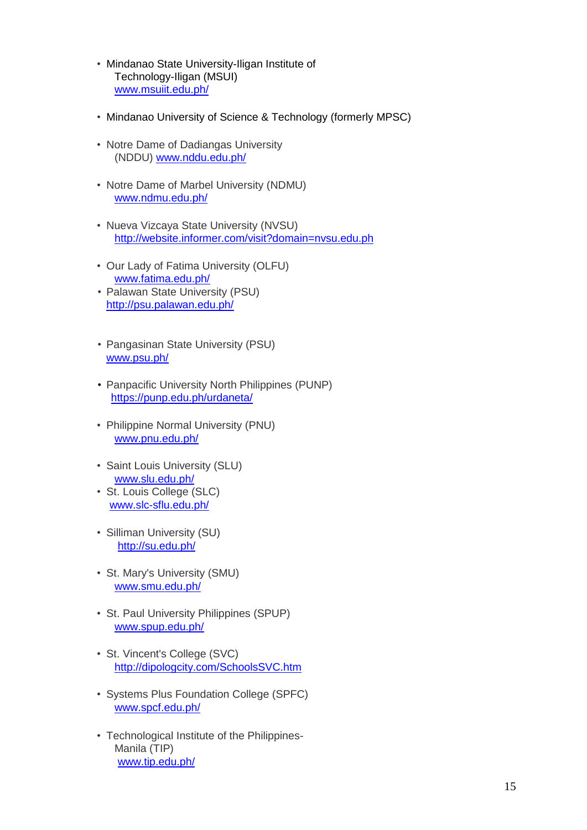- Mindanao State University-Iligan Institute of Technology-Iligan (MSUI) [www.msuiit.edu.ph/](http://www.msuiit.edu.ph/)
- Mindanao University of Science & Technology (formerly MPSC)
- Notre Dame of Dadiangas University (NDDU) [www.nddu.edu.ph/](http://www.nddu.edu.ph/)
- Notre Dame of Marbel University (NDMU) [www.ndmu.edu.ph/](http://www.ndmu.edu.ph/)
- Nueva Vizcaya State University (NVSU) <http://website.informer.com/visit?domain=nvsu.edu.ph>
- Our Lady of Fatima University (OLFU) [www.fatima.edu.ph/](http://www.fatima.edu.ph/)
- Palawan State University (PSU) <http://psu.palawan.edu.ph/>
- Pangasinan State University (PSU) [www.psu.ph/](http://www.psu.ph/)
- Panpacific University North Philippines (PUNP) <https://punp.edu.ph/urdaneta/>
- Philippine Normal University (PNU) [www.pnu.edu.ph/](http://www.pnu.edu.ph/)
- Saint Louis University (SLU) [www.slu.edu.ph/](http://www.slu.edu.ph/)
- St. Louis College (SLC) [www.slc-sflu.edu.ph/](http://www.slc-sflu.edu.ph/)
- Silliman University (SU) <http://su.edu.ph/>
- St. Mary's University (SMU) [www.smu.edu.ph/](http://www.smu.edu.ph/)
- St. Paul University Philippines (SPUP) [www.spup.edu.ph/](http://www.spup.edu.ph/)
- St. Vincent's College (SVC) <http://dipologcity.com/SchoolsSVC.htm>
- Systems Plus Foundation College (SPFC) [www.spcf.edu.ph/](http://www.spcf.edu.ph/)
- Technological Institute of the Philippines-Manila (TIP) [www.tip.edu.ph/](http://www.tip.edu.ph/)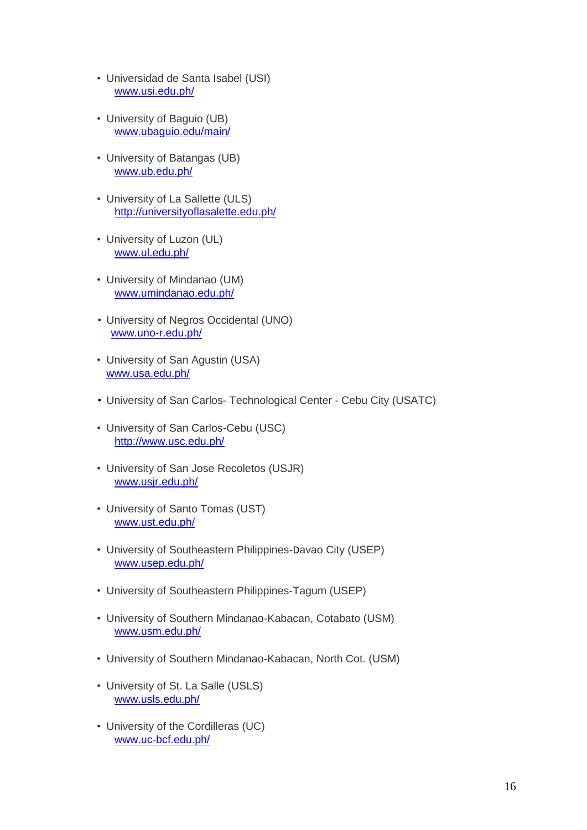- Universidad de Santa Isabel (USI) [www.usi.edu.ph/](http://www.usi.edu.ph/)
- University of Baguio (UB) [www.ubaguio.edu/main/](http://www.ubaguio.edu/main/)
- University of Batangas (UB) [www.ub.edu.ph/](http://www.ub.edu.ph/)
- University of La Sallette (ULS) <http://universityoflasalette.edu.ph/>
- University of Luzon (UL) [www.ul.edu.ph/](http://www.ul.edu.ph/)
- University of Mindanao (UM) [www.umindanao.edu.ph/](http://www.umindanao.edu.ph/)
- University of Negros Occidental (UNO) [www.uno-](http://www.uno/)[r.edu.ph/](http://www.uno-r.edu.ph/)
- University of San Agustin (USA) [www.usa.edu.ph/](http://www.usa.edu.ph/)
- University of San Carlos- Technological Center Cebu City (USATC)
- University of San Carlos-Cebu (USC) <http://www.usc.edu.ph/>
- University of San Jose Recoletos (USJR) [www.usjr.edu.ph/](http://www.usjr.edu.ph/)
- University of Santo Tomas (UST) [www.ust.edu.ph/](http://www.ust.edu.ph/)
- University of Southeastern Philippines-Davao City (USEP) [www.usep.edu.ph/](http://www.usep.edu.ph/)
- University of Southeastern Philippines-Tagum (USEP)
- University of Southern Mindanao-Kabacan, Cotabato (USM) [www.usm.edu.ph/](http://www.usm.edu.ph/)
- University of Southern Mindanao-Kabacan, North Cot. (USM)
- University of St. La Salle (USLS) [www.usls.edu.ph/](http://www.usls.edu.ph/)
- University of the Cordilleras (UC) [www.uc-bcf.edu.ph/](http://www.uc-bcf.edu.ph/)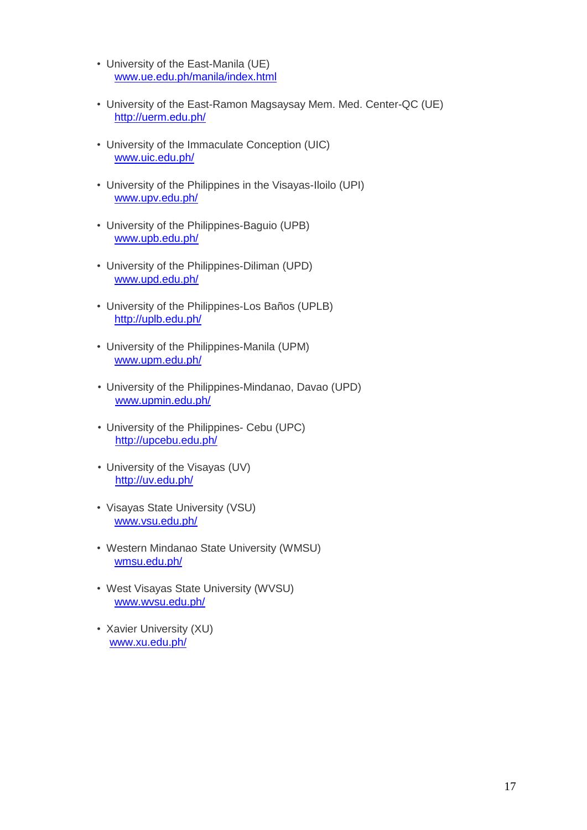- University of the East-Manila (UE) [www.ue.edu.ph/manila/index.html](http://www.ue.edu.ph/manila/index.html)
- University of the East-Ramon Magsaysay Mem. Med. Center-QC (UE) <http://uerm.edu.ph/>
- University of the Immaculate Conception (UIC) [www.uic.edu.ph/](http://www.uic.edu.ph/)
- University of the Philippines in the Visayas-Iloilo (UPI) [www.upv.edu.ph/](http://www.upv.edu.ph/)
- University of the Philippines-Baguio (UPB) [www.upb.edu.ph/](http://www.upb.edu.ph/)
- University of the Philippines-Diliman (UPD) [www.upd.edu.ph/](http://www.upd.edu.ph/)
- University of the Philippines-Los Baños (UPLB) <http://uplb.edu.ph/>
- University of the Philippines-Manila (UPM) [www.upm.edu.ph/](http://www.upm.edu.ph/)
- University of the Philippines-Mindanao, Davao (UPD) [www.upmin.edu.ph/](http://www.upmin.edu.ph/)
- University of the Philippines- Cebu (UPC) <http://upcebu.edu.ph/>
- University of the Visayas (UV) <http://uv.edu.ph/>
- Visayas State University (VSU) [www.vsu.edu.ph/](http://www.vsu.edu.ph/)
- Western Mindanao State University (WMSU) [wmsu.edu.ph/](http://wmsu.edu.ph/)
- West Visayas State University (WVSU) [www.wvsu.edu.ph/](http://www.wvsu.edu.ph/)
- Xavier University (XU) [www.xu.edu.ph/](http://www.xu.edu.ph/)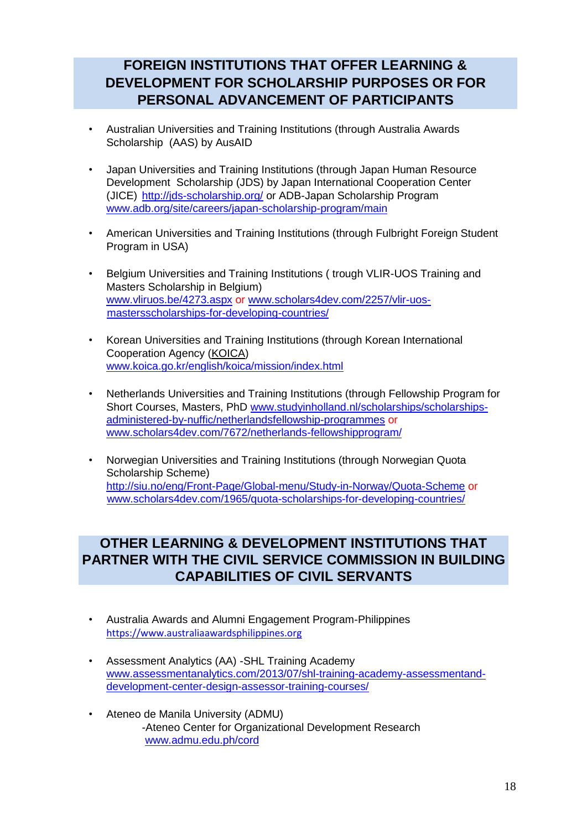## **FOREIGN INSTITUTIONS THAT OFFER LEARNING & DEVELOPMENT FOR SCHOLARSHIP PURPOSES OR FOR PERSONAL ADVANCEMENT OF PARTICIPANTS**

- Australian Universities and Training Institutions (through Australia Awards Scholarship (AAS) by AusAI[D](http://aid.dfat.gov.au/australia-awards/pages/studyin.aspx)
- Japan Universities and Training Institutions (through Japan Human Resource Development Scholarship (JDS) by Japan International Cooperation Center (JICE)<http://jds-scholarship.org/> or ADB-Japan Scholarship Program [www.adb.org/site/careers/japan-scholarship-program/main](http://www.adb.org/site/careers/japan-scholarship-program/main)
- American Universities and Training Institutions (through Fulbright Foreign Student Program in USA)
- Belgium Universities and Training Institutions ( trough VLIR-UOS Training and Masters Scholarship in Belgium) [www.vliruos.be/4273.aspx](http://www.vliruos.be/4273.aspx) [o](http://www.vliruos.be/4273.aspx)r [www.scholars4dev.com/2257/vlir-uos](http://www.scholars4dev.com/2257/vlir-uos-masters-scholarships-for-developing-countries/)[mastersscholarships-for-developing-countries/](http://www.scholars4dev.com/2257/vlir-uos-masters-scholarships-for-developing-countries/)
- Korean Universities and Training Institutions (through Korean International Cooperation Agency [\(KOICA\)](http://scholarship-positions.com/koica-scholarship-program-sp-for-international-students-in-korea-2013/2013/02/16/)  [www.koica.go.kr/english/koica/mission/index.html](http://www.koica.go.kr/english/koica/mission/index.html)
- Netherlands Universities and Training Institutions (through Fellowship Program for Short Courses, Masters, PhD [www.studyinholland.nl/scholarships/scholarships](http://www.studyinholland.nl/scholarships/scholarships-administered-by-nuffic/netherlands-fellowship-programmes)[administered-by-nuffic/netherlandsfellowship-programmes](http://www.studyinholland.nl/scholarships/scholarships-administered-by-nuffic/netherlands-fellowship-programmes) or [www.scholars4dev.com/7672/netherlands-fellowshipprogram/](http://www.scholars4dev.com/7672/netherlands-fellowship-program/)
- Norwegian Universities and Training Institutions (through Norwegian Quota Scholarship Scheme) <http://siu.no/eng/Front-Page/Global-menu/Study-in-Norway/Quota-Scheme> [o](http://siu.no/eng/Front-Page/Global-menu/Study-in-Norway/Quota-Scheme)r [www.scholars4dev.com/1965/quota-scholarships-for-developing-countries/](http://www.scholars4dev.com/1965/quota-scholarships-for-developing-countries/)

### **OTHER LEARNING & DEVELOPMENT INSTITUTIONS THAT PARTNER WITH THE CIVIL SERVICE COMMISSION IN BUILDING CAPABILITIES OF CIVIL SERVANTS**

- Australia Awards and Alumni Engagement Program-Philippines [https://www.australiaawardsphilippines.org](https://www.australiaawardsphilippines.org/)
- Assessment Analytics (AA) -SHL Training Academy [www.assessmentanalytics.com/2013/07/shl-training-academy-assessmentand](http://www.assessmentanalytics.com/2013/07/shl-training-academy-assessment-and-development-center-design-assessor-training-courses/)[development-center-design-assessor-training-courses/](http://www.assessmentanalytics.com/2013/07/shl-training-academy-assessment-and-development-center-design-assessor-training-courses/)
- Ateneo de Manila University (ADMU) -Ateneo Center for Organizational Development Research [www.admu.edu.ph/cord](http://www.admu.edu.ph/cord)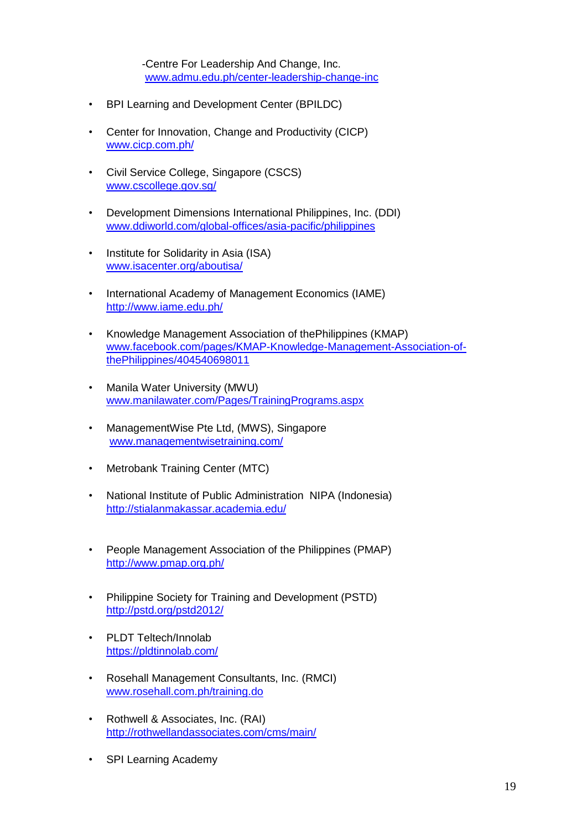-Centre For Leadership And Change, Inc. [www.admu.edu.ph/center-leadership-change-inc](http://www.admu.edu.ph/center-leadership-change-inc)

- BPI Learning and Development Center (BPILDC)
- Center for Innovation, Change and Productivity (CICP) [www.cicp.com.ph/](http://www.cicp.com.ph/)
- Civil Service College, Singapore (CSCS) [www.cscollege.gov.sg/](http://www.cscollege.gov.sg/)
- Development Dimensions International Philippines, Inc. (DDI) [www.ddiworld.com/global-offices/asia-pacific/philippines](http://www.ddiworld.com/global-offices/asia-pacific/philippines)
- Institute for Solidarity in Asia (ISA) [www.isacenter.org/aboutisa/](http://www.isacenter.org/aboutisa/)
- International Academy of Management Economics (IAME) <http://www.iame.edu.ph/>
- Knowledge Management Association of thePhilippines (KMAP) [www.facebook.com/pages/KMAP-Knowledge-Management-Association-of](http://www.facebook.com/pages/KMAP-Knowledge-Management-Association-of-the-Philippines/404540698011)[thePhilippines/404540698011](http://www.facebook.com/pages/KMAP-Knowledge-Management-Association-of-the-Philippines/404540698011)
- Manila Water University (MWU) [www.manilawater.com/Pages/TrainingPrograms.aspx](http://www.manilawater.com/Pages/TrainingPrograms.aspx)
- ManagementWise Pte Ltd, (MWS), Singapore [www.managementwisetraining.com/](http://www.managementwisetraining.com/)
- Metrobank Training Center (MTC)
- National Institute of Public Administration NIPA (Indonesia) <http://stialanmakassar.academia.edu/>
- People Management Association of the Philippines (PMAP) <http://www.pmap.org.ph/>
- Philippine Society for Training and Development (PSTD) <http://pstd.org/pstd2012/>
- PLDT Teltech/Innolab <https://pldtinnolab.com/>
- Rosehall Management Consultants, Inc. (RMCI) [www.rosehall.com.ph/training.do](http://www.rosehall.com.ph/training.do)
- Rothwell & Associates, Inc. (RAI) <http://rothwellandassociates.com/cms/main/>
- SPI Learning Academy